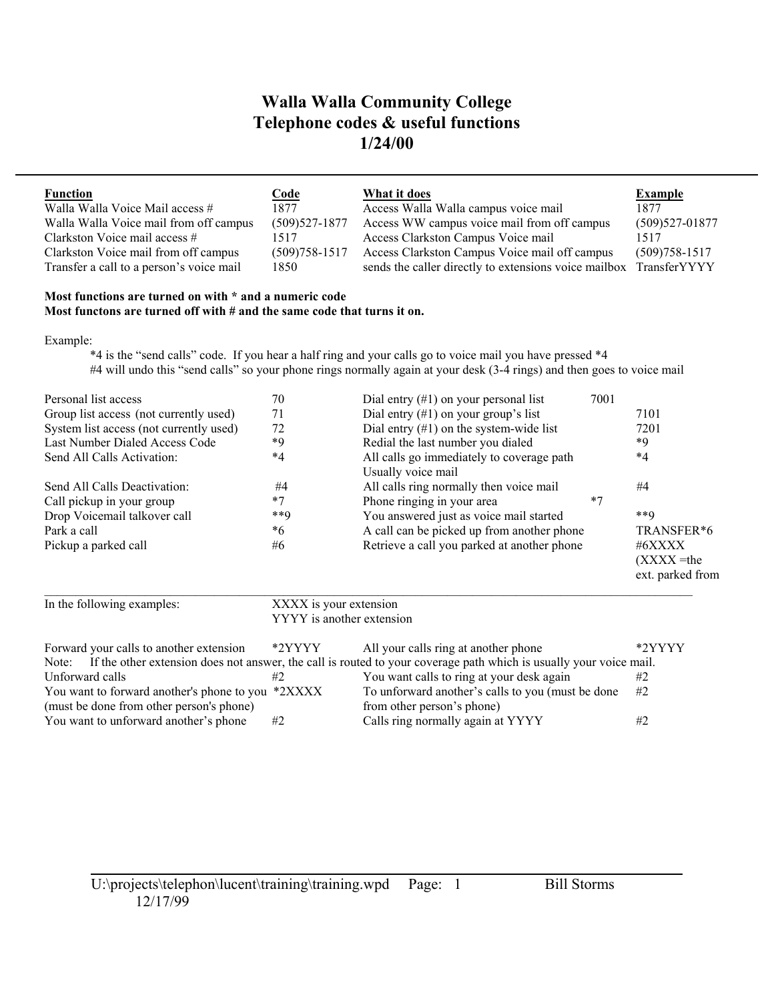| <b>Function</b><br>Walla Walla Voice Mail access # | <u>Code</u><br>1877 | What it does<br>Access Walla Walla campus voice mail               | Example<br>1877   |
|----------------------------------------------------|---------------------|--------------------------------------------------------------------|-------------------|
| Walla Walla Voice mail from off campus             | $(509)527 - 1877$   | Access WW campus voice mail from off campus                        | $(509)527-01877$  |
| Clarkston Voice mail access #                      | 1517                | Access Clarkston Campus Voice mail                                 | 1517              |
| Clarkston Voice mail from off campus               | $(509)758 - 1517$   | Access Clarkston Campus Voice mail off campus                      | $(509)758 - 1517$ |
| Transfer a call to a person's voice mail           | 1850                | sends the caller directly to extensions voice mailbox TransferYYYY |                   |

### **Most functions are turned on with \* and a numeric code Most functons are turned off with # and the same code that turns it on.**

Example:

\*4 is the "send calls" code. If you hear a half ring and your calls go to voice mail you have pressed \*4 #4 will undo this "send calls" so your phone rings normally again at your desk (3-4 rings) and then goes to voice mail

| Personal list access                    | 70     | Dial entry $(\#1)$ on your personal list    | 7001 |                  |
|-----------------------------------------|--------|---------------------------------------------|------|------------------|
| Group list access (not currently used)  | 71     | Dial entry $(\#1)$ on your group's list     |      | 7101             |
| System list access (not currently used) | 72     | Dial entry $(\#1)$ on the system-wide list  |      | 7201             |
| Last Number Dialed Access Code          | *9     | Redial the last number you dialed           |      | *Q               |
| Send All Calls Activation:              | $*4$   | All calls go immediately to coverage path   |      | $*_{4}$          |
|                                         |        | Usually voice mail                          |      |                  |
| Send All Calls Deactivation:            | #4     | All calls ring normally then voice mail     |      | #4               |
| Call pickup in your group               | $*7$   | Phone ringing in your area                  | $*7$ |                  |
| Drop Voicemail talkover call            | $***9$ | You answered just as voice mail started     |      | $***9$           |
| Park a call                             | *6     | A call can be picked up from another phone  |      | TRANSFER*6       |
| Pickup a parked call                    | #6     | Retrieve a call you parked at another phone |      | #6XXXX           |
|                                         |        |                                             |      | $(XXX)$ =the     |
|                                         |        |                                             |      | ext. parked from |

| In the following examples:                                                                                               | XXXX is your extension | YYYY is another extension                         |        |  |
|--------------------------------------------------------------------------------------------------------------------------|------------------------|---------------------------------------------------|--------|--|
| Forward your calls to another extension                                                                                  | *2YYYY                 | All your calls ring at another phone              | *2YYYY |  |
| Note: If the other extension does not answer, the call is routed to your coverage path which is usually your voice mail. |                        |                                                   |        |  |
| Unforward calls                                                                                                          | #2                     | You want calls to ring at your desk again         | #2     |  |
| You want to forward another's phone to you *2XXXX                                                                        |                        | To unforward another's calls to you (must be done | #2     |  |
| (must be done from other person's phone)                                                                                 |                        | from other person's phone)                        |        |  |
| You want to unforward another's phone                                                                                    | #2                     | Calls ring normally again at YYYY                 | #2     |  |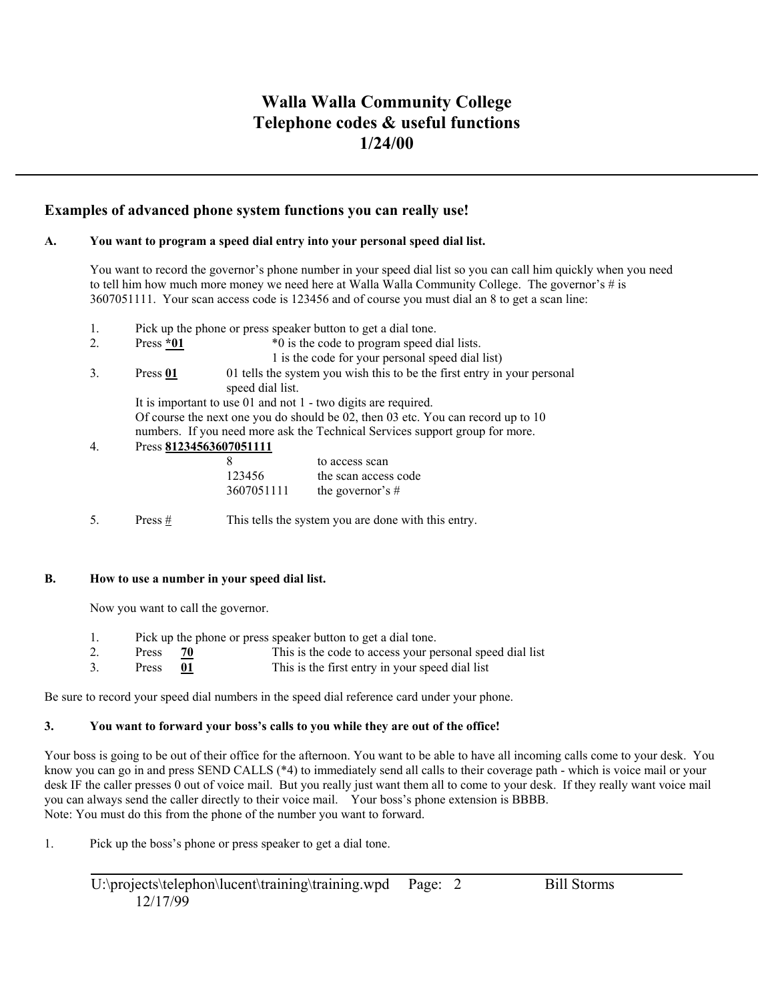### **Examples of advanced phone system functions you can really use!**

### **A. You want to program a speed dial entry into your personal speed dial list.**

You want to record the governor's phone number in your speed dial list so you can call him quickly when you need to tell him how much more money we need here at Walla Walla Community College. The governor's # is 3607051111. Your scan access code is 123456 and of course you must dial an 8 to get a scan line:

|  |  | Pick up the phone or press speaker button to get a dial tone. |  |
|--|--|---------------------------------------------------------------|--|
|  |  |                                                               |  |

- 2. Press \*01 \*0 is the code to program speed dial lists.
	- 1 is the code for your personal speed dial list)
- 3. Press **01** 01 tells the system you wish this to be the first entry in your personal speed dial list. It is important to use 01 and not 1 - two digits are required. Of course the next one you do should be 02, then 03 etc. You can record up to 10 numbers. If you need more ask the Technical Services support group for more.

### 4. Press **81234563607051111**

| -8         | to access scan       |
|------------|----------------------|
| 123456     | the scan access code |
| 3607051111 | the governor's $#$   |

5. Press # This tells the system you are done with this entry.

#### **B. How to use a number in your speed dial list.**

Now you want to call the governor.

- 1. Pick up the phone or press speaker button to get a dial tone.
- 2. Press **70** This is the code to access your personal speed dial list<br>3. Press **01** This is the first entry in your speed dial list Press **01** This is the first entry in your speed dial list

Be sure to record your speed dial numbers in the speed dial reference card under your phone.

### **3. You want to forward your boss's calls to you while they are out of the office!**

Your boss is going to be out of their office for the afternoon. You want to be able to have all incoming calls come to your desk. You know you can go in and press SEND CALLS (\*4) to immediately send all calls to their coverage path - which is voice mail or your desk IF the caller presses 0 out of voice mail. But you really just want them all to come to your desk. If they really want voice mail you can always send the caller directly to their voice mail. Your boss's phone extension is BBBB. Note: You must do this from the phone of the number you want to forward.

1. Pick up the boss's phone or press speaker to get a dial tone.

U:\projects\telephon\lucent\training\training.wpd Page: 2 Bill Storms 12/17/99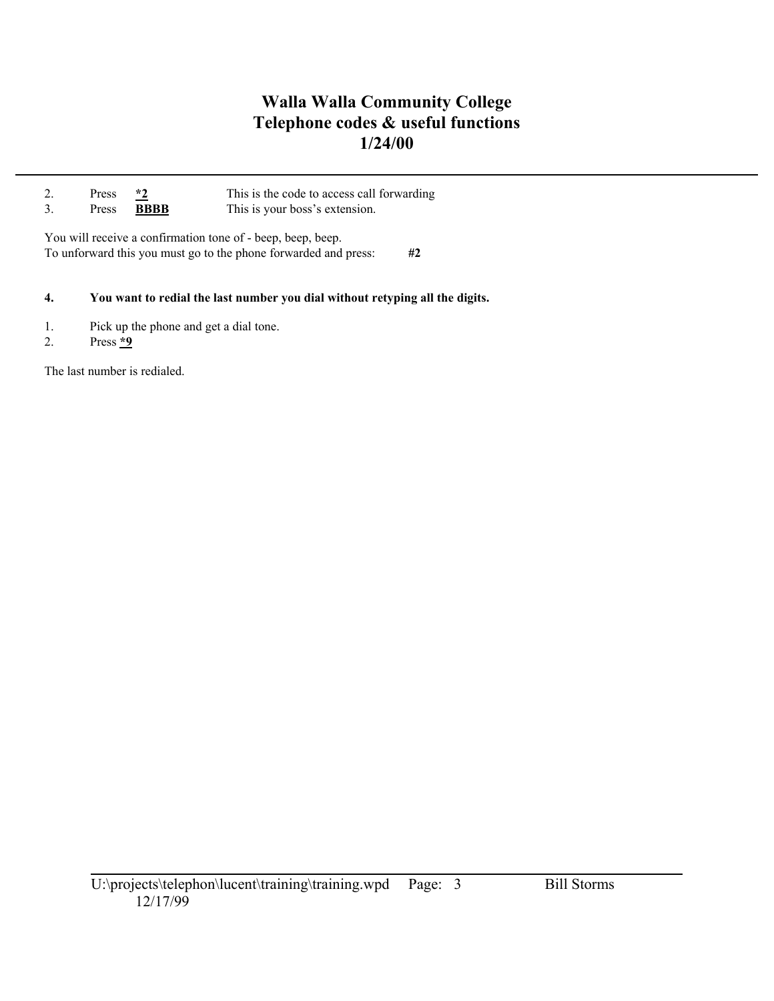| Press | $*2$        | This is the code to access call forwarding |
|-------|-------------|--------------------------------------------|
| Press | <b>BBBB</b> | This is your boss's extension.             |
|       |             |                                            |

You will receive a confirmation tone of - beep, beep, beep. To unforward this you must go to the phone forwarded and press: **#2** 

### **4. You want to redial the last number you dial without retyping all the digits.**

- 1. Pick up the phone and get a dial tone.
- 2. Press **\*9**

The last number is redialed.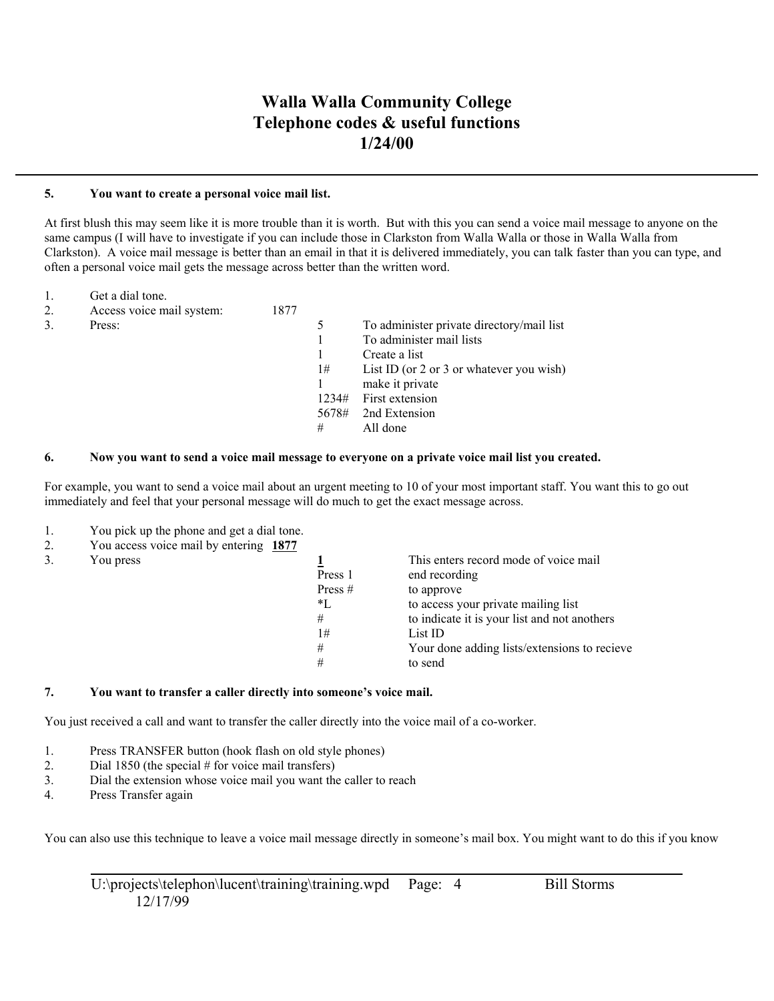#### **5. You want to create a personal voice mail list.**

At first blush this may seem like it is more trouble than it is worth. But with this you can send a voice mail message to anyone on the same campus (I will have to investigate if you can include those in Clarkston from Walla Walla or those in Walla Walla from Clarkston). A voice mail message is better than an email in that it is delivered immediately, you can talk faster than you can type, and often a personal voice mail gets the message across better than the written word.

- 1. Get a dial tone.
- 2. Access voice mail system: 1877
- 

| Access voice mail system: | 1877 |       |                                           |
|---------------------------|------|-------|-------------------------------------------|
| Press:                    |      |       | To administer private directory/mail list |
|                           |      |       | To administer mail lists                  |
|                           |      |       | Create a list                             |
|                           |      | 1#    | List ID (or 2 or 3 or whatever you wish)  |
|                           |      |       | make it private                           |
|                           |      | 1234# | First extension                           |
|                           |      | 5678# | 2nd Extension                             |
|                           |      | #     | All done                                  |

#### **6. Now you want to send a voice mail message to everyone on a private voice mail list you created.**

For example, you want to send a voice mail about an urgent meeting to 10 of your most important staff. You want this to go out immediately and feel that your personal message will do much to get the exact message across.

- 1. You pick up the phone and get a dial tone.
- 2. You access voice mail by entering **1877**
- 

| $1000$ week $000$ $(01000)$ $(010001)$ $(01000)$ $(01000)$ |           |                                              |
|------------------------------------------------------------|-----------|----------------------------------------------|
| You press                                                  |           | This enters record mode of voice mail        |
|                                                            | Press 1   | end recording                                |
|                                                            | Press $#$ | to approve                                   |
|                                                            | *L        | to access your private mailing list          |
|                                                            | #         | to indicate it is your list and not anothers |
|                                                            | 1#        | List ID                                      |
|                                                            | #         | Your done adding lists/extensions to recieve |
|                                                            | #         | to send                                      |
|                                                            |           |                                              |

#### **7. You want to transfer a caller directly into someone's voice mail.**

You just received a call and want to transfer the caller directly into the voice mail of a co-worker.

- 1. Press TRANSFER button (hook flash on old style phones)
- 2. Dial 1850 (the special # for voice mail transfers)
- 3. Dial the extension whose voice mail you want the caller to reach
- 4. Press Transfer again

You can also use this technique to leave a voice mail message directly in someone's mail box. You might want to do this if you know

U:\projects\telephon\lucent\training\training.wpd Page: 4 Bill Storms 12/17/99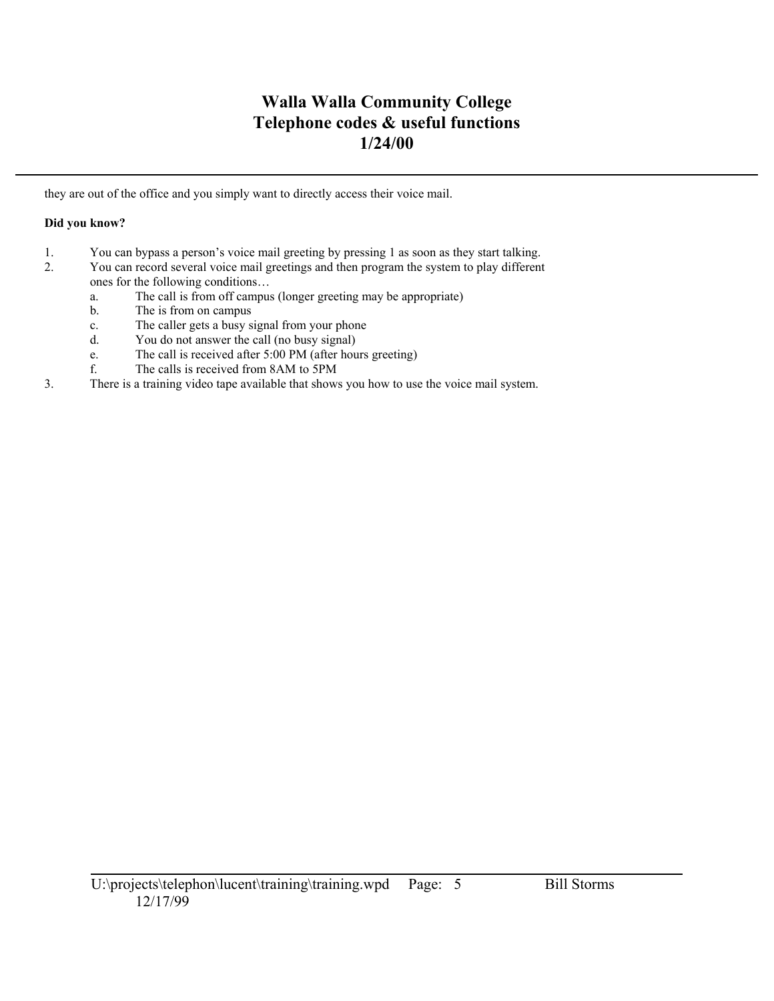they are out of the office and you simply want to directly access their voice mail.

## **Did you know?**

- 1. You can bypass a person's voice mail greeting by pressing 1 as soon as they start talking.
- 2. You can record several voice mail greetings and then program the system to play different ones for the following conditions…
	- a. The call is from off campus (longer greeting may be appropriate)
	- b. The is from on campus
	- c. The caller gets a busy signal from your phone
	- d. You do not answer the call (no busy signal)
	- e. The call is received after 5:00 PM (after hours greeting)
	- f. The calls is received from 8AM to 5PM
- 3. There is a training video tape available that shows you how to use the voice mail system.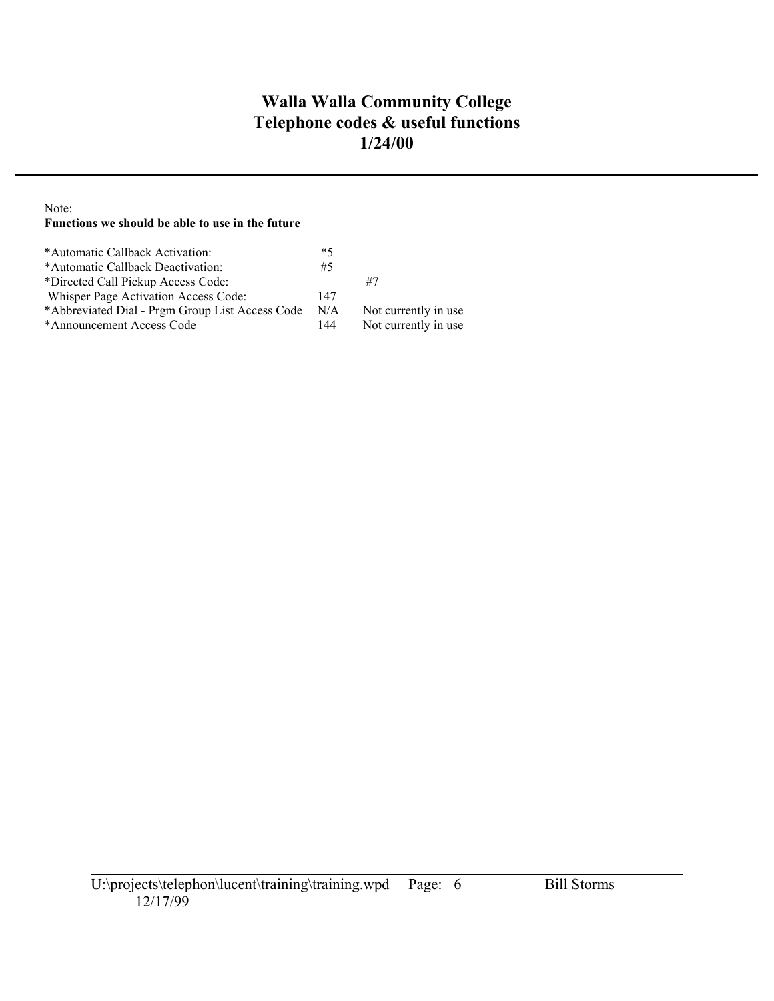## Note:

## **Functions we should be able to use in the future**

| *Automatic Callback Activation:                 | $*5$ |                       |
|-------------------------------------------------|------|-----------------------|
| *Automatic Callback Deactivation:               | #5   |                       |
| *Directed Call Pickup Access Code:              |      | #7                    |
| Whisper Page Activation Access Code:            | 147  |                       |
| *Abbreviated Dial - Prgm Group List Access Code | N/A  | Not currently in use. |
| *Announcement Access Code                       | 144  | Not currently in use  |